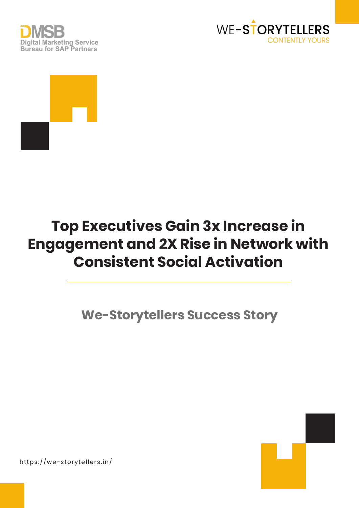





# **Top Executives Gain 3x Increase in Engagement and 2X Rise in Network with Consistent Social Activation**

**We-Storytellers Success Story**



https://we-storytellers.in/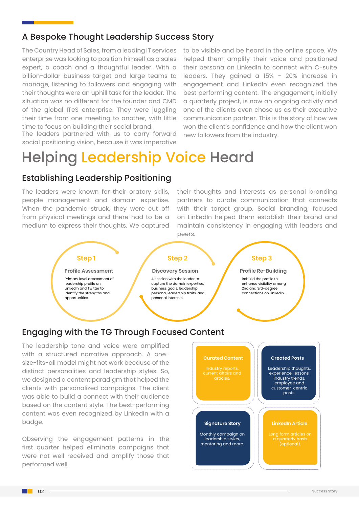### A Bespoke Thought Leadership Success Story

The Country Head of Sales, from a leading IT services enterprise was looking to position himself as a sales expert, a coach and a thoughtful leader. With a billion-dollar business target and large teams to manage, listening to followers and engaging with their thoughts were an uphill task for the leader. The situation was no different for the founder and CMD of the global ITeS enterprise. They were juggling their time from one meeting to another, with little time to focus on building their social brand.

The leaders partnered with us to carry forward social positioning vision, because it was imperative

to be visible and be heard in the online space. We helped them amplify their voice and positioned their persona on LinkedIn to connect with C-suite leaders. They gained a 15% - 20% increase in engagement and LinkedIn even recognized the best performing content. The engagement, initially a quarterly project, is now an ongoing activity and one of the clients even chose us as their executive communication partner. This is the story of how we won the client's confidence and how the client won new followers from the industry.

# Helping Leadership Voice Heard

### Establishing Leadership Positioning

The leaders were known for their oratory skills, people management and domain expertise. When the pandemic struck, they were cut off from physical meetings and there had to be a medium to express their thoughts. We captured their thoughts and interests as personal branding partners to curate communication that connects with their target group. Social branding, focused on LinkedIn helped them establish their brand and maintain consistency in engaging with leaders and peers.



badge.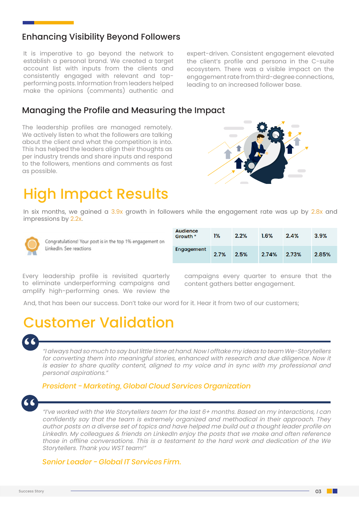### Enhancing Visibility Beyond Followers

It is imperative to go beyond the network to establish a personal brand. We created a target account list with inputs from the clients and consistently engaged with relevant and topperforming posts. Information from leaders helped make the opinions (comments) authentic and

expert-driven. Consistent engagement elevated the client's profile and persona in the C-suite ecosystem. There was a visible impact on the engagement rate from third-degree connections, leading to an increased follower base.

### Managing the Profile and Measuring the Impact

The leadership profiles are managed remotely. We actively listen to what the followers are talking about the client and what the competition is into. This has helped the leaders align their thoughts as per industry trends and share inputs and respond to the followers, mentions and comments as fast as possible.

### High Impact Results

In six months, we gained a 3.9x growth in followers while the engagement rate was up by 2.8x and impressions by 2.2x.



Congratulations! Your post is in the top 1% engagement on LinkedIn. See reactions

| <b>Audience</b><br>Growth <sup>*</sup> | $1\%$ | 2.2% | 1.6%  | 2.4%  | 3.9%  |
|----------------------------------------|-------|------|-------|-------|-------|
| Engagement                             | 2.7%  | 2.5% | 2.74% | 2.73% | 2.85% |

Every leadership profile is revisited quarterly to eliminate underperforming campaigns and amplify high-performing ones. We review the

campaigns every quarter to ensure that the content gathers better engagement.

And, that has been our success. Don't take our word for it. Hear it from two of our customers;

### Customer Validation

# "

"I always had so much to say but little time at hand. Now I offtake my ideas to team We-Storytellers for converting them into meaningful stories, enhanced with research and due diligence. Now it is easier to share quality content, aligned to my voice and in sync with my professional and personal aspirations."

#### *President - Marketing, Global Cloud Services Organization*



"I've worked with the We Storytellers team for the last 6+ months. Based on my interactions, I can confidently say that the team is extremely organized and methodical in their approach. They author posts on a diverse set of topics and have helped me build out a thought leader profile on LinkedIn. My colleagues & friends on LinkedIn enjoy the posts that we make and often reference those in offline conversations. This is a testament to the hard work and dedication of the We Storytellers. Thank you WST team!"

#### *Senior Leader - Global IT Services Firm.*